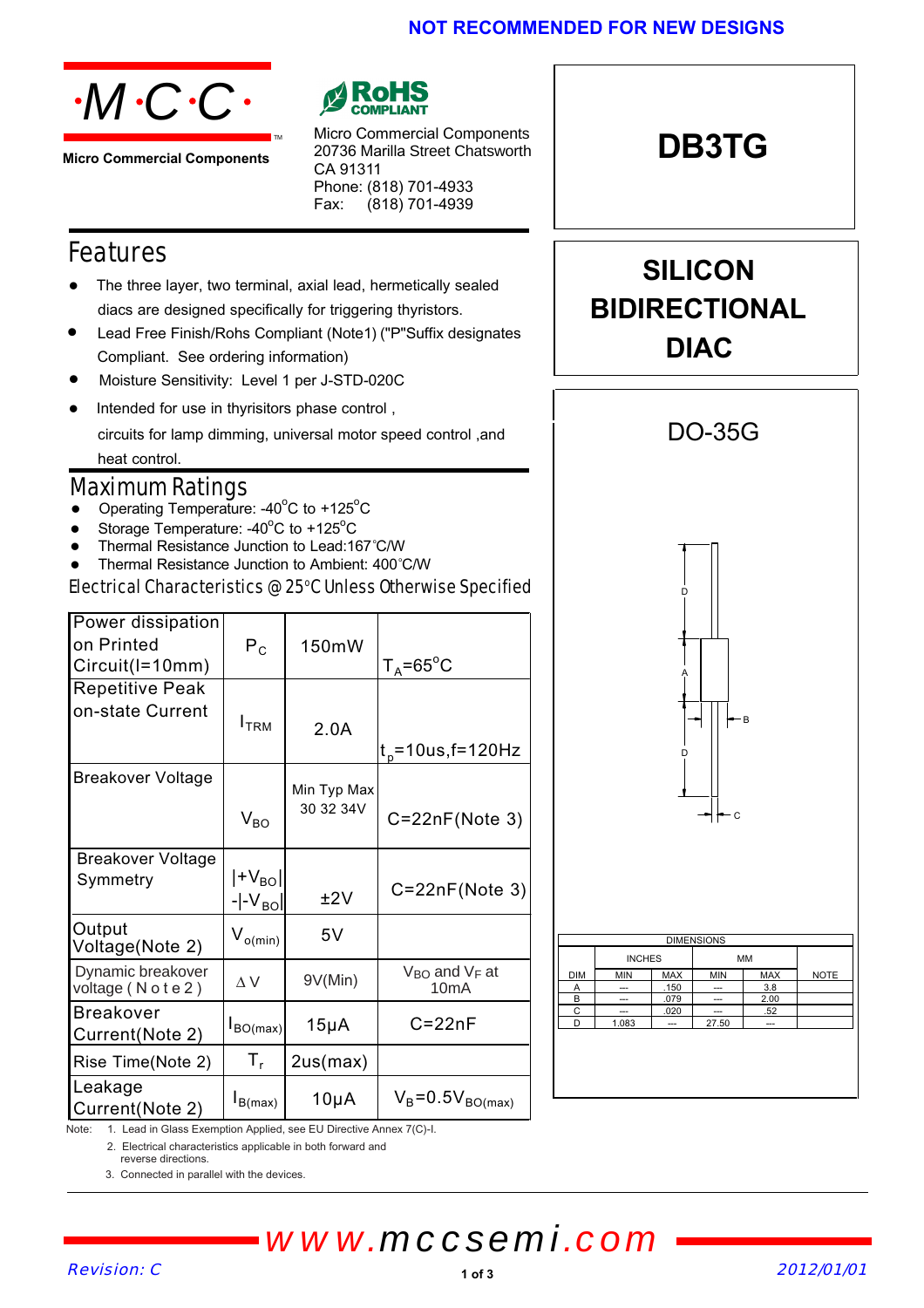### **NOT RECOMMENDED FOR NEW DESIGNS**



**Micro Commercial Components**



Micro Commercial Components 20736 Marilla Street Chatsworth CA 91311 Phone: (818) 701-4933 Fax: (818) 701-4939

## Features

 The three layer, two terminal, axial lead, hermetically sealed diacs are designed specifically for triggering thyristors.

TM

- Lead Free Finish/Rohs Compliant (Note1) ("P"Suffix designates Compliant. See ordering information)
- Moisture Sensitivity: Level 1 per J-STD-020C
- Intended for use in thyrisitors phase control , circuits for lamp dimming, universal motor speed control ,and heat control.

## Maximum Ratings

- Operating Temperature: -40 $^{\circ}$ C to +125 $^{\circ}$ C
- Storage Temperature: -40 $^{\circ}$ C to +125 $^{\circ}$ C
- Thermal Resistance Junction to Lead:167°C/W
- Thermal Resistance Junction to Ambient: 400°C/W

Electrical Characteristics @ 25°C Unless Otherwise Specified

| Power dissipation<br>on Printed<br>Circuit(I=10mm) | $\mathsf{P}_\mathsf{C}$              | 150mW                    | $T_A = 65$ °C                 |
|----------------------------------------------------|--------------------------------------|--------------------------|-------------------------------|
| <b>Repetitive Peak</b><br>on-state Current         | I <sub>TRM</sub>                     |                          |                               |
|                                                    |                                      | 2.0A                     | $t_{p}$ =10us, f=120Hz        |
| Breakover Voltage                                  | $\rm V_{BO}$                         | Min Typ Max<br>30 32 34V | $C = 22nF(Note 3)$            |
| <b>Breakover Voltage</b><br>Symmetry               | $ $ +V $_{\rm{Bo}} $<br>$- -V_{BO} $ | ±2V                      | $C = 22nF(Note 3)$            |
| Output<br>Voltage(Note 2)                          | $V_{o(min)}$                         | 5V                       |                               |
| Dynamic breakover<br>voltage (Note2)               | $\wedge \vee$                        | 9V(Min)                  | $V_{BO}$ and $V_F$ at<br>10mA |
| <b>Breakover</b><br>Current(Note 2)                | $I_{BO(max)}$                        | $15\mu A$                | $C = 22nF$                    |
| Rise Time(Note 2)                                  | $T_{r}$                              | 2us(max)                 |                               |
| Leakage<br>Current(Note 2)                         | $I_{B(max)}$                         | $10\mu A$                | $V_B = 0.5V_{BO(max)}$        |



C --- .020 --- .52 D 1.083 -- 27.50 --

**DB3TG**

**SILICON**

**BIDIRECTIONAL**

Note: 1. Lead in Glass Exemption Applied, see EU Directive Annex 7(C)-I.

2. Electrical characteristics applicable in both forward and

reverse directions.

3. Connected in parallel with the devices.

*www.mccsemi.com*

#### Revision: C 2012/01/01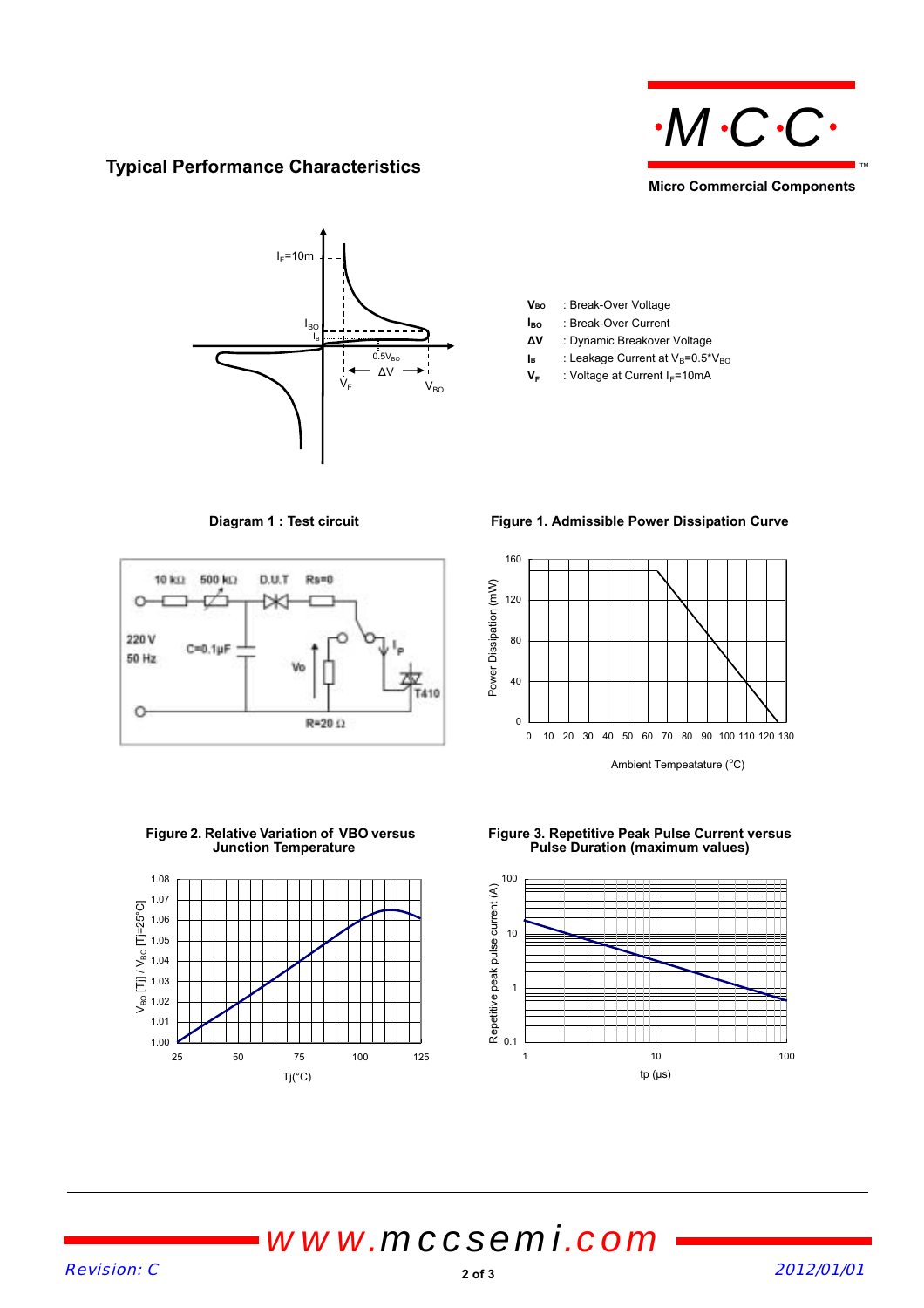

### **Typical Performance Characteristics**



V<sub>BO</sub> : Break-Over Voltage

- **I<sub>BO</sub>** : Break-Over Current
- **ǻV** : Dynamic Breakover Voltage
- $I_B$  : Leakage Current at  $V_B=0.5*V_{BO}$
- $\Delta V \longrightarrow I$ <br> $V_F$  : Voltage at Current I<sub>F</sub>=10mA



**Diagram 1 : Test circuit Figure 1. Admissible Power Dissipation Curve**



**Figure 2. Relative Variation of VBO versus Junction Temperature**



**Figure 3. Repetitive Peak Pulse Current versus Pulse Duration (maximum values)**



## *www.mccsemi.com*